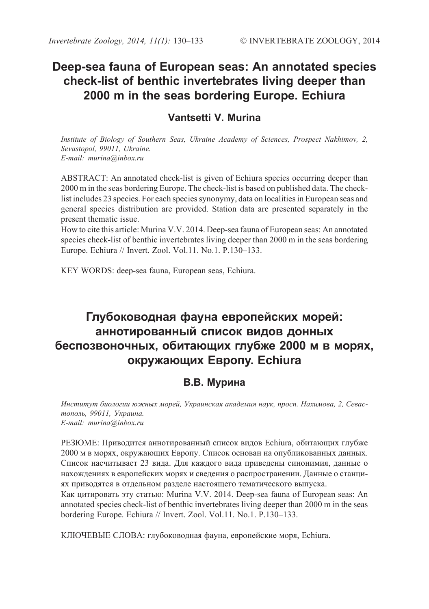# **Deep-sea fauna of European seas: An annotated species check-list of benthic invertebrates living deeper than 2000 m in the seas bordering Europe. Echiura**

# **Vantsetti V. Murina**

*Institute of Biology of Southern Seas, Ukraine Academy of Sciences, Prospect Nakhimov, 2, Sevastopol, 99011, Ukraine. E-mail: murina@inbox.ru*

ABSTRACT: An annotated check-list is given of Echiura species occurring deeper than 2000 m in the seas bordering Europe. The check-list is based on published data. The checklist includes 23 species. For each species synonymy, data on localities in European seas and general species distribution are provided. Station data are presented separately in the present thematic issue.

How to cite this article: Murina V.V. 2014. Deep-sea fauna of European seas: An annotated species check-list of benthic invertebrates living deeper than 2000 m in the seas bordering Europe. Echiura // Invert. Zool. Vol.11. No.1. P.130–133.

KEY WORDS: deep-sea fauna, European seas, Echiura.

# **Глубоководная фауна европейских морей: аннотированный список видов донных беспозвоночных, обитающих глубже 2000 м в морях, окружающих Европу. Echiura**

# **В.В. Мурина**

*Институт биологии южных морей, Украинская академия наук, просп. Нахимова, 2, Севастополь, 99011, Украина. E-mail: murina@inbox.ru*

РЕЗЮМЕ: Приводится аннотированный список видов Echiura, обитающих глубже 2000 м в морях, окружающих Европу. Список основан на опубликованных данных. Список насчитывает 23 вида. Для каждого вида приведены синонимия, данные о нахождениях в европейских морях и сведения о распространении. Данные о станциях приводятся в отдельном разделе настоящего тематического выпуска.

Как цитировать эту статью: Murina V.V. 2014. Deep-sea fauna of European seas: An annotated species check-list of benthic invertebrates living deeper than 2000 m in the seas bordering Europe. Echiura // Invert. Zool. Vol.11. No.1. P.130–133.

КЛЮЧЕВЫЕ СЛОВА: глубоководная фауна, европейские моря, Echiura.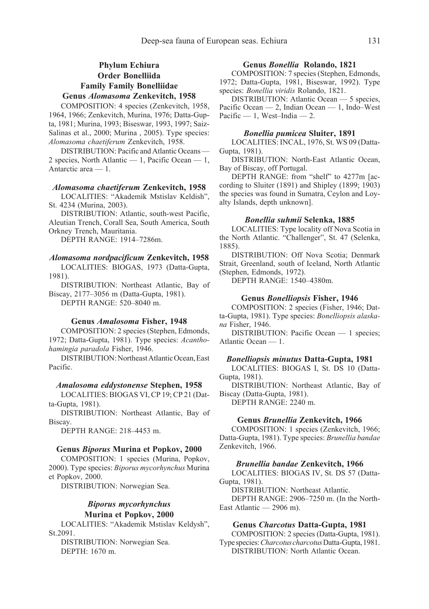# **Phylum Echiura Order Bonelliida Family Family Bonelliidae**

# **Genus** *Alomasoma* **Zenkevitch, 1958**

COMPOSITION: 4 species (Zenkevitch, 1958, 1964, 1966; Zenkevitch, Murina, 1976; Datta-Gupta, 1981; Murina, 1993; Biseswar, 1993, 1997; Saiz-Salinas et al., 2000; Murina , 2005). Type species: *Alomasoma chaetiferum* Zenkevitch, 1958.

DISTRIBUTION: Pacific and Atlantic Oceans — 2 species, North Atlantic — 1, Pacific Ocean — 1, Antarctic area — 1.

#### *Alomasoma chaetiferum* **Zenkevitch, 1958**

LOCALITIES: "Akademik Mstislav Keldish", St. 4234 (Murina, 2003).

DISTRIBUTION: Atlantic, south-west Pacific, Aleutian Trench, Corall Sea, South America, South Orkney Trench, Mauritania.

DEPTH RANGE: 1914–7286m.

# *Alomasoma nordpacificum* **Zenkevitch, 1958**

LOCALITIES: BIOGAS, 1973 (Datta-Gupta, 1981).

DISTRIBUTION: Northeast Atlantic, Bay of Biscay, 2177–3056 m (Datta-Gupta, 1981). DEPTH RANGE: 520–8040 m.

**Genus** *Amalosoma* **Fisher, 1948**

COMPOSITION: 2 species (Stephen, Edmonds, 1972; Datta-Gupta, 1981). Type species: *Acanthohamingia paradola* Fisher, 1946.

DISTRIBUTION: Northeast Atlantic Ocean, East Pacific.

#### *Amalosoma eddystonense* **Stephen, 1958**

LOCALITIES: BIOGAS VI, CP 19; CP 21 (Datta-Gupta, 1981).

DISTRIBUTION: Northeast Atlantic, Bay of Biscay.

DEPTH RANGE: 218–4453 m.

# **Genus** *Biporus* **Murina et Popkov, 2000**

COMPOSITION: 1 species (Murina, Popkov, 2000). Type species: *Biporus mycorhynchus* Murina et Popkov, 2000.

DISTRIBUTION: Norwegian Sea.

# *Biporus mycorhynchus* **Murina et Popkov, 2000**

LOCALITIES: "Akademik Mstislav Keldysh", St.2091.

DISTRIBUTION: Norwegian Sea. DEPTH: 1670 m.

# **Genus** *Bonellia* **Rolando, 1821**

COMPOSITION: 7 species (Stephen, Edmonds, 1972; Datta-Gupta, 1981, Biseswar, 1992). Type species: *Bonellia viridis* Rolando, 1821.

DISTRIBUTION: Atlantic Ocean — 5 species, Pacific Ocean — 2, Indian Ocean — 1, Indo–West Pacific  $-1$ , West-India  $-2$ .

# *Bonellia pumicea* **Sluiter, 1891**

LOCALITIES: INCAL, 1976, St. WS 09 (Datta-Gupta, 1981).

DISTRIBUTION: North-East Atlantic Ocean, Bay of Biscay, off Portugal.

DEPTH RANGE: from "shelf" to 4277m [according to Sluiter (1891) and Shipley (1899; 1903) the species was found in Sumatra, Ceylon and Loyalty Islands, depth unknown].

# *Bonellia suhmii* **Selenka, 1885**

LOCALITIES: Type locality off Nova Scotia in the North Atlantic. "Challenger", St. 47 (Selenka, 1885).

DISTRIBUTION: Off Nova Scotia; Denmark Strait, Greenland, south of Iceland, North Atlantic (Stephen, Edmonds, 1972).

DEPTH RANGE: 1540–4380m.

### **Genus** *Bonelliopsis* **Fisher, 1946**

COMPOSITION: 2 species (Fisher, 1946; Datta-Gupta, 1981). Type species: *Bonelliopsis alaskana* Fisher, 1946.

DISTRIBUTION: Pacific Ocean — 1 species; Atlantic Ocean — 1.

#### *Bonelliopsis minutus* **Datta-Gupta, 1981**

LOCALITIES: BIOGAS I, St. DS 10 (Datta-Gupta, 1981).

DISTRIBUTION: Northeast Atlantic, Bay of Biscay (Datta-Gupta, 1981).

DEPTH RANGE: 2240 m.

# **Genus** *Brunellia* **Zenkevitch, 1966**

COMPOSITION: 1 species (Zenkevitch, 1966; Datta-Gupta, 1981). Type species: *Brunellia bandae* Zenkevitch, 1966.

#### *Brunellia bandae* **Zenkevitch, 1966**

LOCALITIES: BIOGAS IV, St. DS 57 (Datta-Gupta, 1981).

DISTRIBUTION: Northeast Atlantic.

DEPTH RANGE: 2906–7250 m. (In the North-East Atlantic — 2906 m).

# **Genus** *Charcotus* **Datta-Gupta, 1981**

COMPOSITION: 2 species (Datta-Gupta, 1981). Type species: *Charcotus charcotus* Datta-Gupta, 1981. DISTRIBUTION: North Atlantic Ocean.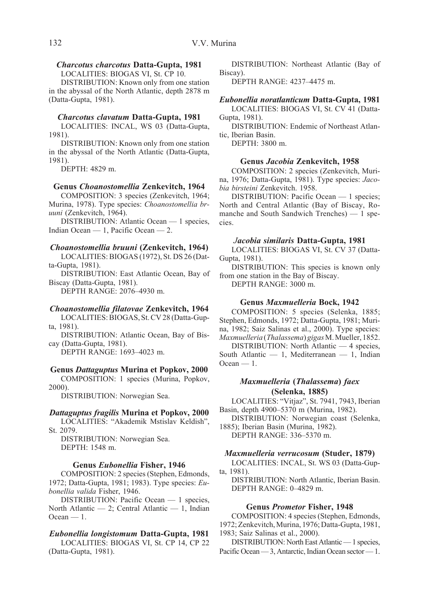# *Charcotus charcotus* **Datta-Gupta, 1981**

LOCALITIES: BIOGAS VI, St. CP 10.

DISTRIBUTION: Known only from one station in the abyssal of the North Atlantic, depth 2878 m (Datta-Gupta, 1981).

# *Charcotus clavatum* **Datta-Gupta, 1981**

LOCALITIES: INCAL, WS 03 (Datta-Gupta, 1981).

DISTRIBUTION: Known only from one station in the abyssal of the North Atlantic (Datta-Gupta, 1981).

DEPTH: 4829 m.

#### **Genus** *Choanostomellia* **Zenkevitch, 1964**

COMPOSITION: 3 species (Zenkevitch, 1964; Murina, 1978). Type species: *Choanostomellia bruuni* (Zenkevitch, 1964).

DISTRIBUTION: Atlantic Ocean — 1 species, Indian Ocean — 1, Pacific Ocean — 2.

# *Choanostomellia bruuni* **(Zenkevitch, 1964)**

LOCALITIES: BIOGAS (1972), St. DS 26 (Datta-Gupta, 1981).

DISTRIBUTION: East Atlantic Ocean, Bay of Biscay (Datta-Gupta, 1981).

DEPTH RANGE: 2076–4930 m.

# *Choanostomellia filatovae* **Zenkevitch, 1964**

LOCALITIES: BIOGAS, St. CV 28 (Datta-Gupta, 1981).

DISTRIBUTION: Atlantic Ocean, Bay of Biscay (Datta-Gupta, 1981).

DEPTH RANGE: 1693–4023 m.

# **Genus** *Dattaguptus* **Murina et Popkov, 2000**

COMPOSITION: 1 species (Murina, Popkov, 2000).

DISTRIBUTION: Norwegian Sea.

# *Dattaguptus fragilis* **Murina et Popkov, 2000**

LOCALITIES: "Akademik Mstislav Keldish", St. 2079.

DISTRIBUTION: Norwegian Sea. DEPTH: 1548 m.

# **Genus** *Eubonellia* **Fisher, 1946**

COMPOSITION: 2 species (Stephen, Edmonds, 1972; Datta-Gupta, 1981; 1983). Type species: *Eubonellia valida* Fisher, 1946.

DISTRIBUTION: Pacific Ocean — 1 species, North Atlantic — 2; Central Atlantic — 1, Indian Ocean — 1.

#### *Eubonellia longistomum* **Datta-Gupta, 1981**

LOCALITIES: BIOGAS VI, St. CP 14, CP 22 (Datta-Gupta, 1981).

DISTRIBUTION: Northeast Atlantic (Bay of Biscay).

DEPTH RANGE: 4237–4475 m.

# *Eubonellia noratlanticum* **Datta-Gupta, 1981**

LOCALITIES: BIOGAS VI, St. CV 41 (Datta-Gupta, 1981).

DISTRIBUTION: Endemic of Northeast Atlantic, Iberian Basin.

DEPTH: 3800 m.

# **Genus** *Jacobia* **Zenkevitch, 1958**

COMPOSITION: 2 species (Zenkevitch, Murina, 1976; Datta-Gupta, 1981). Type species: *Jacobia birsteini* Zenkevitch. 1958.

DISTRIBUTION: Pacific Ocean — 1 species; North and Central Atlantic (Bay of Biscay, Romanche and South Sandwich Trenches) — 1 species.

#### *Jacobia similaris* **Datta-Gupta, 1981**

LOCALITIES: BIOGAS VI, St. CV 37 (Datta-Gupta, 1981).

DISTRIBUTION: This species is known only from one station in the Bay of Biscay.

DEPTH RANGE: 3000 m.

#### **Genus** *Maxmuelleria* **Bock, 1942**

COMPOSITION: 5 species (Selenka, 1885; Stephen, Edmonds, 1972; Datta-Gupta, 1981; Murina, 1982; Saiz Salinas et al., 2000). Type species: *Maxmuelleria* (*Thalassema*) *gigas* M. Mueller, 1852.

DISTRIBUTION: North Atlantic — 4 species, South Atlantic — 1, Mediterranean — 1, Indian  $Ocean - 1$ .

# *Maxmuelleria* **(***Thalassema***)** *faex* **(Selenka, 1885)**

LOCALITIES: "Vitjaz", St. 7941, 7943, Iberian Basin, depth 4900–5370 m (Murina, 1982).

DISTRIBUTION: Norwegian coast (Selenka, 1885); Iberian Basin (Murina, 1982).

DEPTH RANGE: 336–5370 m.

*Maxmuelleria verrucosum* **(Studer, 1879)**

LOCALITIES: INCAL, St. WS 03 (Datta-Gupta, 1981).

DISTRIBUTION: North Atlantic, Iberian Basin. DEPTH RANGE: 0–4829 m.

#### **Genus** *Prometor* **Fisher, 1948**

COMPOSITION: 4 species (Stephen, Edmonds, 1972; Zenkevitch, Murina, 1976; Datta-Gupta, 1981, 1983; Saiz Salinas et al., 2000).

DISTRIBUTION: North East Atlantic — 1 species, Pacific Ocean — 3, Antarctic, Indian Ocean sector — 1.